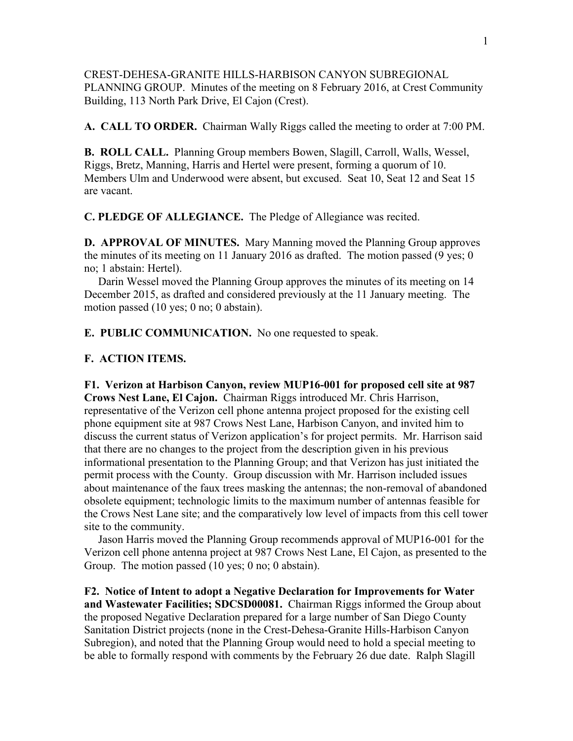CREST-DEHESA-GRANITE HILLS-HARBISON CANYON SUBREGIONAL PLANNING GROUP. Minutes of the meeting on 8 February 2016, at Crest Community Building, 113 North Park Drive, El Cajon (Crest).

**A. CALL TO ORDER.** Chairman Wally Riggs called the meeting to order at 7:00 PM.

**B. ROLL CALL.** Planning Group members Bowen, Slagill, Carroll, Walls, Wessel, Riggs, Bretz, Manning, Harris and Hertel were present, forming a quorum of 10. Members Ulm and Underwood were absent, but excused. Seat 10, Seat 12 and Seat 15 are vacant.

**C. PLEDGE OF ALLEGIANCE.** The Pledge of Allegiance was recited.

**D. APPROVAL OF MINUTES.** Mary Manning moved the Planning Group approves the minutes of its meeting on 11 January 2016 as drafted. The motion passed (9 yes; 0 no; 1 abstain: Hertel).

 Darin Wessel moved the Planning Group approves the minutes of its meeting on 14 December 2015, as drafted and considered previously at the 11 January meeting. The motion passed (10 yes; 0 no; 0 abstain).

**E. PUBLIC COMMUNICATION.** No one requested to speak.

### **F. ACTION ITEMS.**

**F1. Verizon at Harbison Canyon, review MUP16-001 for proposed cell site at 987 Crows Nest Lane, El Cajon.** Chairman Riggs introduced Mr. Chris Harrison, representative of the Verizon cell phone antenna project proposed for the existing cell phone equipment site at 987 Crows Nest Lane, Harbison Canyon, and invited him to discuss the current status of Verizon application's for project permits. Mr. Harrison said that there are no changes to the project from the description given in his previous informational presentation to the Planning Group; and that Verizon has just initiated the permit process with the County. Group discussion with Mr. Harrison included issues about maintenance of the faux trees masking the antennas; the non-removal of abandoned obsolete equipment; technologic limits to the maximum number of antennas feasible for the Crows Nest Lane site; and the comparatively low level of impacts from this cell tower site to the community.

 Jason Harris moved the Planning Group recommends approval of MUP16-001 for the Verizon cell phone antenna project at 987 Crows Nest Lane, El Cajon, as presented to the Group. The motion passed (10 yes; 0 no; 0 abstain).

**F2. Notice of Intent to adopt a Negative Declaration for Improvements for Water and Wastewater Facilities; SDCSD00081.** Chairman Riggs informed the Group about the proposed Negative Declaration prepared for a large number of San Diego County Sanitation District projects (none in the Crest-Dehesa-Granite Hills-Harbison Canyon Subregion), and noted that the Planning Group would need to hold a special meeting to be able to formally respond with comments by the February 26 due date. Ralph Slagill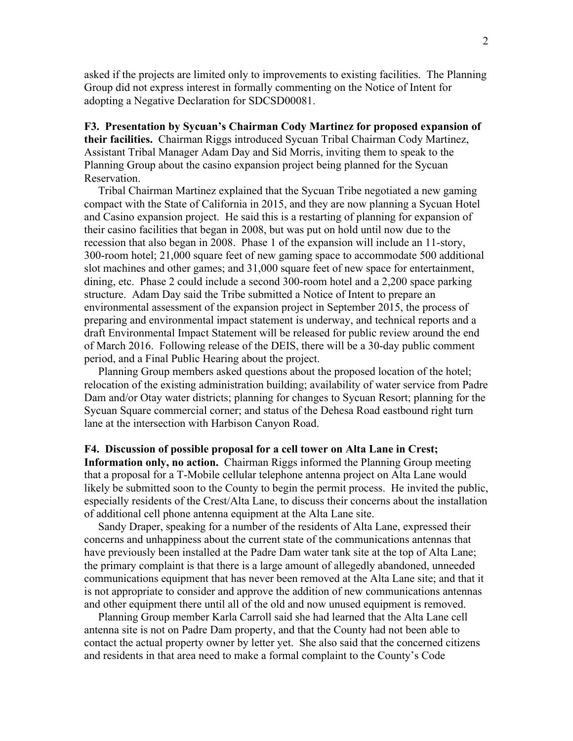asked if the projects are limited only to improvements to existing facilities. The Planning Group did not express interest in formally commenting on the Notice of Intent for adopting a Negative Declaration for SDCSD00081.

# **F3. Presentation by Sycuan's Chairman Cody Martinez for proposed expansion of their facilities.** Chairman Riggs introduced Sycuan Tribal Chairman Cody Martinez, Assistant Tribal Manager Adam Day and Sid Morris, inviting them to speak to the Planning Group about the casino expansion project being planned for the Sycuan Reservation.

 Tribal Chairman Martinez explained that the Sycuan Tribe negotiated a new gaming compact with the State of California in 2015, and they are now planning a Sycuan Hotel and Casino expansion project. He said this is a restarting of planning for expansion of their casino facilities that began in 2008, but was put on hold until now due to the recession that also began in 2008. Phase 1 of the expansion will include an 11-story, 300-room hotel; 21,000 square feet of new gaming space to accommodate 500 additional slot machines and other games; and 31,000 square feet of new space for entertainment, dining, etc. Phase 2 could include a second 300-room hotel and a 2,200 space parking structure. Adam Day said the Tribe submitted a Notice of Intent to prepare an environmental assessment of the expansion project in September 2015, the process of preparing and environmental impact statement is underway, and technical reports and a draft Environmental Impact Statement will be released for public review around the end of March 2016. Following release of the DEIS, there will be a 30-day public comment period, and a Final Public Hearing about the project.

 Planning Group members asked questions about the proposed location of the hotel; relocation of the existing administration building; availability of water service from Padre Dam and/or Otay water districts; planning for changes to Sycuan Resort; planning for the Sycuan Square commercial corner; and status of the Dehesa Road eastbound right turn lane at the intersection with Harbison Canyon Road.

#### **F4. Discussion of possible proposal for a cell tower on Alta Lane in Crest;**

**Information only, no action.** Chairman Riggs informed the Planning Group meeting that a proposal for a T-Mobile cellular telephone antenna project on Alta Lane would likely be submitted soon to the County to begin the permit process. He invited the public, especially residents of the Crest/Alta Lane, to discuss their concerns about the installation of additional cell phone antenna equipment at the Alta Lane site.

 Sandy Draper, speaking for a number of the residents of Alta Lane, expressed their concerns and unhappiness about the current state of the communications antennas that have previously been installed at the Padre Dam water tank site at the top of Alta Lane; the primary complaint is that there is a large amount of allegedly abandoned, unneeded communications equipment that has never been removed at the Alta Lane site; and that it is not appropriate to consider and approve the addition of new communications antennas and other equipment there until all of the old and now unused equipment is removed.

 Planning Group member Karla Carroll said she had learned that the Alta Lane cell antenna site is not on Padre Dam property, and that the County had not been able to contact the actual property owner by letter yet. She also said that the concerned citizens and residents in that area need to make a formal complaint to the County's Code